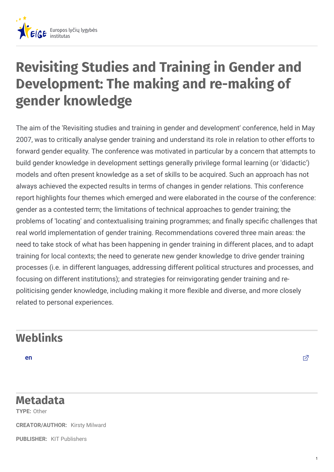

## **Revisiting Studies and Training in Gender and Development: The making and re-making of gender knowledge**

The aim of the 'Revisiting studies and training in gender and development' conference, held in May 2007, was to critically analyse gender training and understand its role in relation to other efforts to forward gender equality. The conference was motivated in particular by a concern that attempts to build gender knowledge in development settings generally privilege formal learning (or 'didactic') models and often present knowledge as a set of skills to be acquired. Such an approach has not always achieved the expected results in terms of changes in gender relations. This conference report highlights four themes which emerged and were elaborated in the course of the conference: gender as a contested term; the limitations of technical approaches to gender training; the problems of 'locating' and contextualising training programmes; and finally specific challenges that real world implementation of gender training. Recommendations covered three main areas: the need to take stock of what has been happening in gender training in different places, and to adapt training for local contexts; the need to generate new gender knowledge to drive gender training processes (i.e. in different languages, addressing different political structures and processes, and focusing on different institutions); and strategies for reinvigorating gender training and repoliticising gender knowledge, including making it more flexible and diverse, and more closely related to personal experiences.

## **Weblinks**

[en](http://www.kit.nl/net/KIT_Publicaties_output/ShowFile2.aspx?e=1397) die staatsbeskip van die stelling van die stelling van die stelling van die stelling van die stelling van die stelling van die stelling van die stelling van die stelling van die stelling van die stelling van die stelli

## **Metadata**

**TYPE:** Other

**CREATOR/AUTHOR:** Kirsty Milward

**PUBLISHER:** KIT Publishers

1